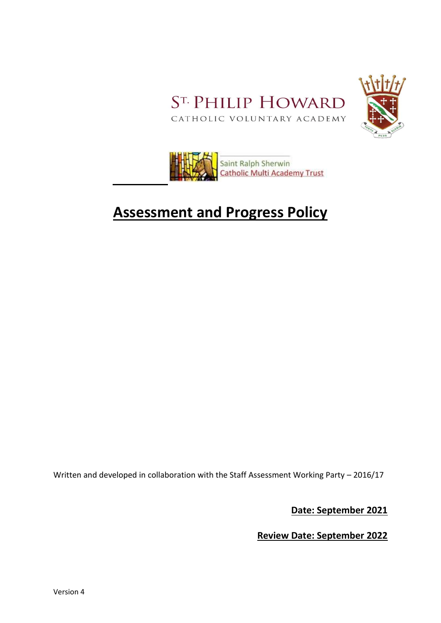



# **Assessment and Progress Policy**

Written and developed in collaboration with the Staff Assessment Working Party – 2016/17

**Date: September 2021**

**Review Date: September 2022**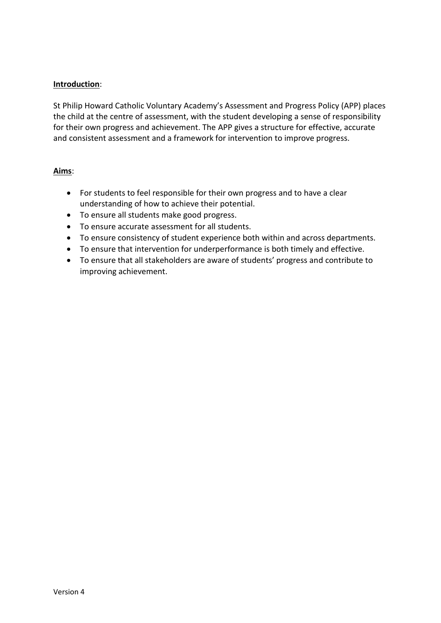# **Introduction**:

St Philip Howard Catholic Voluntary Academy's Assessment and Progress Policy (APP) places the child at the centre of assessment, with the student developing a sense of responsibility for their own progress and achievement. The APP gives a structure for effective, accurate and consistent assessment and a framework for intervention to improve progress.

#### **Aims**:

- For students to feel responsible for their own progress and to have a clear understanding of how to achieve their potential.
- To ensure all students make good progress.
- To ensure accurate assessment for all students.
- To ensure consistency of student experience both within and across departments.
- To ensure that intervention for underperformance is both timely and effective.
- To ensure that all stakeholders are aware of students' progress and contribute to improving achievement.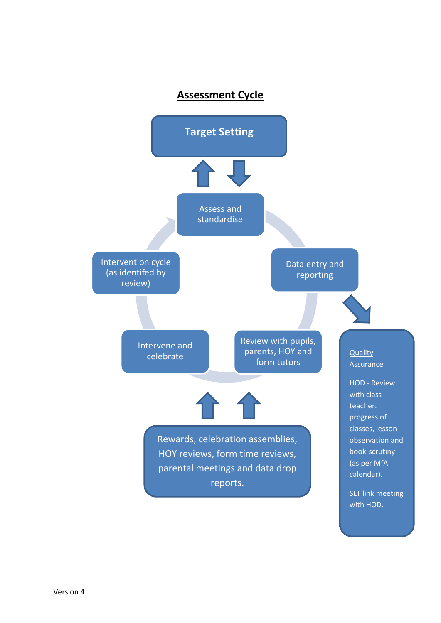# **Assessment Cycle**

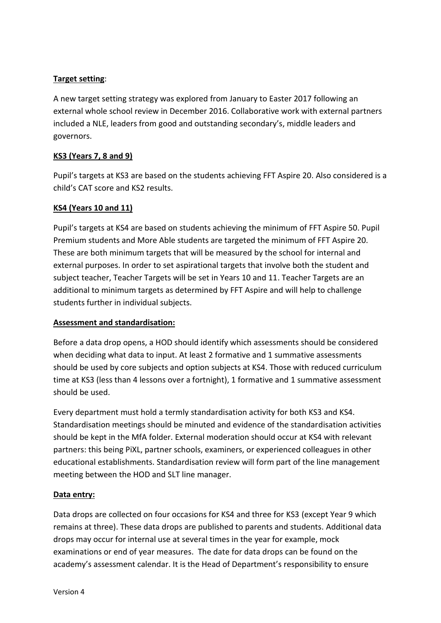# **Target setting**:

A new target setting strategy was explored from January to Easter 2017 following an external whole school review in December 2016. Collaborative work with external partners included a NLE, leaders from good and outstanding secondary's, middle leaders and governors.

# **KS3 (Years 7, 8 and 9)**

Pupil's targets at KS3 are based on the students achieving FFT Aspire 20. Also considered is a child's CAT score and KS2 results.

### **KS4 (Years 10 and 11)**

Pupil's targets at KS4 are based on students achieving the minimum of FFT Aspire 50. Pupil Premium students and More Able students are targeted the minimum of FFT Aspire 20. These are both minimum targets that will be measured by the school for internal and external purposes. In order to set aspirational targets that involve both the student and subject teacher, Teacher Targets will be set in Years 10 and 11. Teacher Targets are an additional to minimum targets as determined by FFT Aspire and will help to challenge students further in individual subjects.

#### **Assessment and standardisation:**

Before a data drop opens, a HOD should identify which assessments should be considered when deciding what data to input. At least 2 formative and 1 summative assessments should be used by core subjects and option subjects at KS4. Those with reduced curriculum time at KS3 (less than 4 lessons over a fortnight), 1 formative and 1 summative assessment should be used.

Every department must hold a termly standardisation activity for both KS3 and KS4. Standardisation meetings should be minuted and evidence of the standardisation activities should be kept in the MfA folder. External moderation should occur at KS4 with relevant partners: this being PiXL, partner schools, examiners, or experienced colleagues in other educational establishments. Standardisation review will form part of the line management meeting between the HOD and SLT line manager.

#### **Data entry:**

Data drops are collected on four occasions for KS4 and three for KS3 (except Year 9 which remains at three). These data drops are published to parents and students. Additional data drops may occur for internal use at several times in the year for example, mock examinations or end of year measures. The date for data drops can be found on the academy's assessment calendar. It is the Head of Department's responsibility to ensure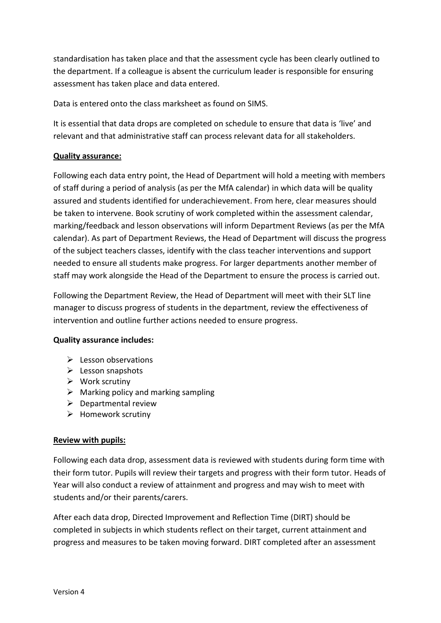standardisation has taken place and that the assessment cycle has been clearly outlined to the department. If a colleague is absent the curriculum leader is responsible for ensuring assessment has taken place and data entered.

Data is entered onto the class marksheet as found on SIMS.

It is essential that data drops are completed on schedule to ensure that data is 'live' and relevant and that administrative staff can process relevant data for all stakeholders.

# **Quality assurance:**

Following each data entry point, the Head of Department will hold a meeting with members of staff during a period of analysis (as per the MfA calendar) in which data will be quality assured and students identified for underachievement. From here, clear measures should be taken to intervene. Book scrutiny of work completed within the assessment calendar, marking/feedback and lesson observations will inform Department Reviews (as per the MfA calendar). As part of Department Reviews, the Head of Department will discuss the progress of the subject teachers classes, identify with the class teacher interventions and support needed to ensure all students make progress. For larger departments another member of staff may work alongside the Head of the Department to ensure the process is carried out.

Following the Department Review, the Head of Department will meet with their SLT line manager to discuss progress of students in the department, review the effectiveness of intervention and outline further actions needed to ensure progress.

#### **Quality assurance includes:**

- $\blacktriangleright$  Lesson observations
- $\triangleright$  Lesson snapshots
- $\triangleright$  Work scrutiny
- $\triangleright$  Marking policy and marking sampling
- $\triangleright$  Departmental review
- $\triangleright$  Homework scrutiny

#### **Review with pupils:**

Following each data drop, assessment data is reviewed with students during form time with their form tutor. Pupils will review their targets and progress with their form tutor. Heads of Year will also conduct a review of attainment and progress and may wish to meet with students and/or their parents/carers.

After each data drop, Directed Improvement and Reflection Time (DIRT) should be completed in subjects in which students reflect on their target, current attainment and progress and measures to be taken moving forward. DIRT completed after an assessment